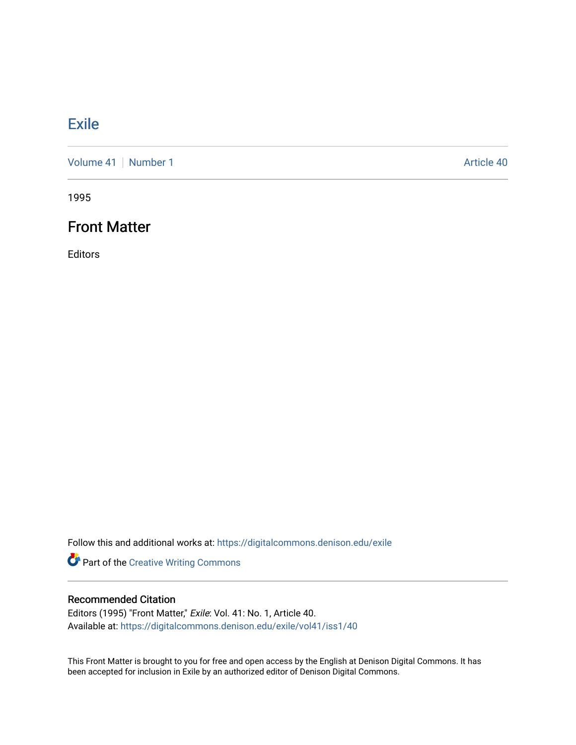### **[Exile](https://digitalcommons.denison.edu/exile)**

[Volume 41](https://digitalcommons.denison.edu/exile/vol41) | [Number 1](https://digitalcommons.denison.edu/exile/vol41/iss1) Article 40

1995

### Front Matter

Editors

Follow this and additional works at: [https://digitalcommons.denison.edu/exile](https://digitalcommons.denison.edu/exile?utm_source=digitalcommons.denison.edu%2Fexile%2Fvol41%2Fiss1%2F40&utm_medium=PDF&utm_campaign=PDFCoverPages) 

Part of the [Creative Writing Commons](http://network.bepress.com/hgg/discipline/574?utm_source=digitalcommons.denison.edu%2Fexile%2Fvol41%2Fiss1%2F40&utm_medium=PDF&utm_campaign=PDFCoverPages) 

#### Recommended Citation

Editors (1995) "Front Matter," Exile: Vol. 41: No. 1, Article 40. Available at: [https://digitalcommons.denison.edu/exile/vol41/iss1/40](https://digitalcommons.denison.edu/exile/vol41/iss1/40?utm_source=digitalcommons.denison.edu%2Fexile%2Fvol41%2Fiss1%2F40&utm_medium=PDF&utm_campaign=PDFCoverPages)

This Front Matter is brought to you for free and open access by the English at Denison Digital Commons. It has been accepted for inclusion in Exile by an authorized editor of Denison Digital Commons.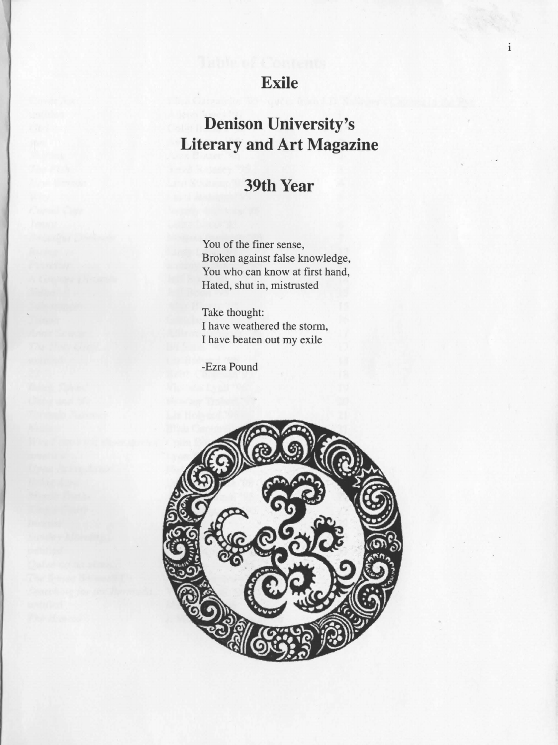## **Exile**

 $\mathbf{i}$ 

# **Denison University's Literary and Art Magazine**

## **39th Year**

You of the finer sense, Broken against false knowledge, You who can know at first hand, Hated, shut in, mistrusted

Take thought: I have weathered the storm, I have beaten out my exile

-Ezra Pound